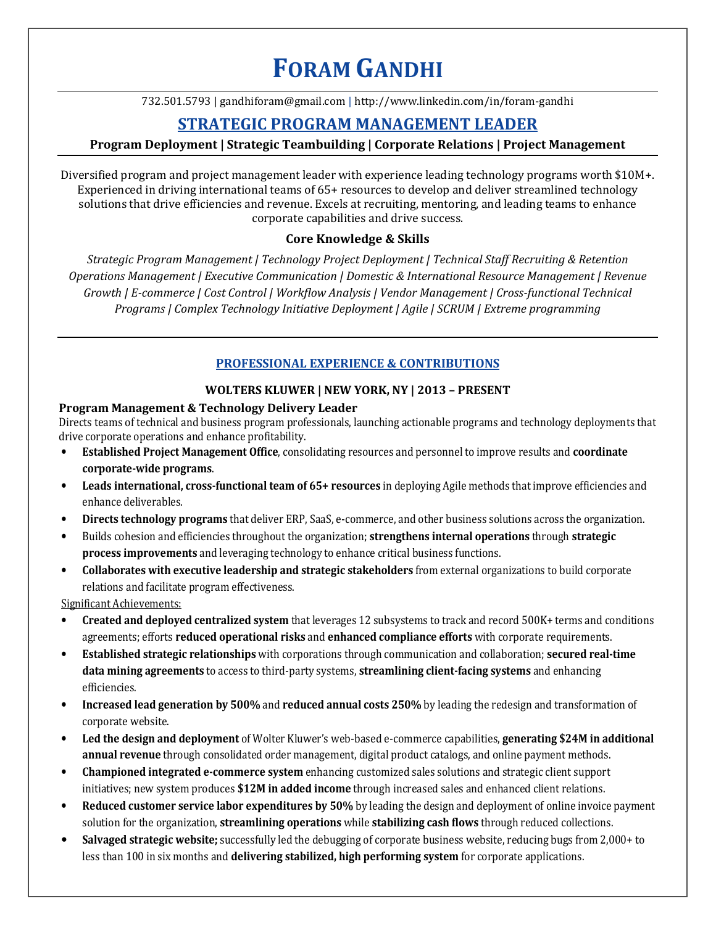# **FORAM GANDHI**

732.501.5793 | gandhiforam@gmail.com | http://www.linkedin.com/in/foram-gandhi

# **STRATEGIC PROGRAM MANAGEMENT LEADER**

# **Program Deployment | Strategic Teambuilding | Corporate Relations | Project Management**

Diversified program and project management leader with experience leading technology programs worth \$10M+. Experienced in driving international teams of 65+ resources to develop and deliver streamlined technology solutions that drive efficiencies and revenue. Excels at recruiting, mentoring, and leading teams to enhance corporate capabilities and drive success.

# **Core Knowledge & Skills**

*Strategic Program Management | Technology Project Deployment | Technical Staff Recruiting & Retention Operations Management | Executive Communication | Domestic & International Resource Management | Revenue Growth | E-commerce | Cost Control | Workflow Analysis | Vendor Management | Cross-functional Technical Programs | Complex Technology Initiative Deployment | Agile | SCRUM | Extreme programming* 

## **PROFESSIONAL EXPERIENCE & CONTRIBUTIONS**

#### **WOLTERS KLUWER | NEW YORK, NY | 2013 – PRESENT**

#### **Program Management & Technology Delivery Leader**

Directs teams of technical and business program professionals, launching actionable programs and technology deployments that drive corporate operations and enhance profitability.

- **Established Project Management Office**, consolidating resources and personnel to improve results and **coordinate corporate-wide programs**.
- **Leads international, cross-functional team of 65+ resources** in deploying Agile methods that improve efficiencies and enhance deliverables.
- **Directs technology programs** that deliver ERP, SaaS, e-commerce, and other business solutions across the organization.
- Builds cohesion and efficiencies throughout the organization; **strengthens internal operations** through **strategic process improvements** and leveraging technology to enhance critical business functions.
- **Collaborates with executive leadership and strategic stakeholders** from external organizations to build corporate relations and facilitate program effectiveness.

Significant Achievements:

- **Created and deployed centralized system** that leverages 12 subsystems to track and record 500K+ terms and conditions agreements; efforts **reduced operational risks** and **enhanced compliance efforts** with corporate requirements.
- **Established strategic relationships** with corporations through communication and collaboration; **secured real-time data mining agreements** to access to third-party systems, **streamlining client-facing systems** and enhancing efficiencies.
- **Increased lead generation by 500%** and **reduced annual costs 250%** by leading the redesign and transformation of corporate website.
- **Led the design and deployment** of Wolter Kluwer's web-based e-commerce capabilities, **generating \$24M in additional annual revenue** through consolidated order management, digital product catalogs, and online payment methods.
- **Championed integrated e-commerce system** enhancing customized sales solutions and strategic client support initiatives; new system produces **\$12M in added income** through increased sales and enhanced client relations.
- **Reduced customer service labor expenditures by 50%** by leading the design and deployment of online invoice payment solution for the organization, **streamlining operations** while **stabilizing cash flows** through reduced collections.
- **Salvaged strategic website;** successfully led the debugging of corporate business website, reducing bugs from 2,000+ to less than 100 in six months and **delivering stabilized, high performing system** for corporate applications.